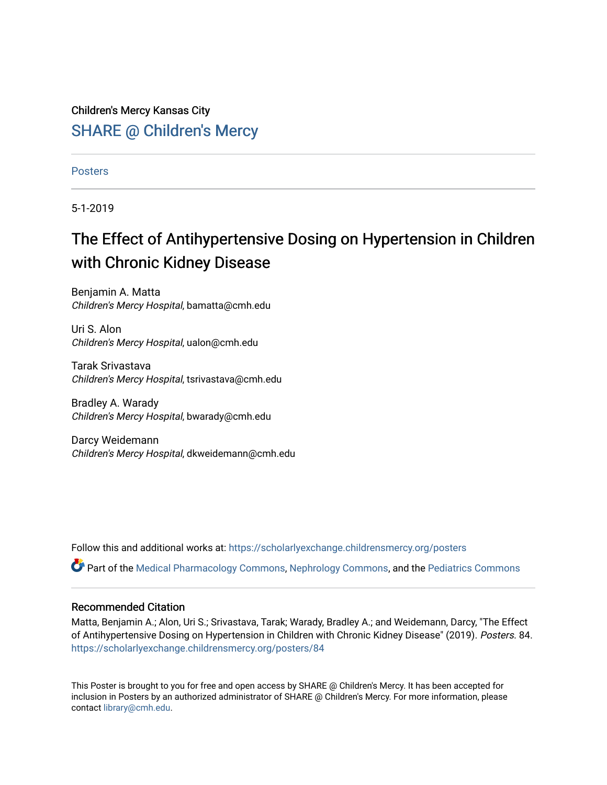Children's Mercy Kansas City **SHARE @ Children's Mercy** 

**Posters** 

5-1-2019

# The Effect of Antihypertensive Dosing on Hypertension in Children with Chronic Kidney Disease

Benjamin A. Matta Children's Mercy Hospital, bamatta@cmh.edu

Uri S. Alon Children's Mercy Hospital, ualon@cmh.edu

Tarak Srivastava Children's Mercy Hospital, tsrivastava@cmh.edu

Bradley A. Warady Children's Mercy Hospital, bwarady@cmh.edu

Darcy Weidemann Children's Mercy Hospital, dkweidemann@cmh.edu

Follow this and additional works at: [https://scholarlyexchange.childrensmercy.org/posters](https://scholarlyexchange.childrensmercy.org/posters?utm_source=scholarlyexchange.childrensmercy.org%2Fposters%2F84&utm_medium=PDF&utm_campaign=PDFCoverPages) 

Part of the [Medical Pharmacology Commons,](http://network.bepress.com/hgg/discipline/960?utm_source=scholarlyexchange.childrensmercy.org%2Fposters%2F84&utm_medium=PDF&utm_campaign=PDFCoverPages) [Nephrology Commons,](http://network.bepress.com/hgg/discipline/691?utm_source=scholarlyexchange.childrensmercy.org%2Fposters%2F84&utm_medium=PDF&utm_campaign=PDFCoverPages) and the [Pediatrics Commons](http://network.bepress.com/hgg/discipline/700?utm_source=scholarlyexchange.childrensmercy.org%2Fposters%2F84&utm_medium=PDF&utm_campaign=PDFCoverPages) 

### Recommended Citation

Matta, Benjamin A.; Alon, Uri S.; Srivastava, Tarak; Warady, Bradley A.; and Weidemann, Darcy, "The Effect of Antihypertensive Dosing on Hypertension in Children with Chronic Kidney Disease" (2019). Posters. 84. [https://scholarlyexchange.childrensmercy.org/posters/84](https://scholarlyexchange.childrensmercy.org/posters/84?utm_source=scholarlyexchange.childrensmercy.org%2Fposters%2F84&utm_medium=PDF&utm_campaign=PDFCoverPages)

This Poster is brought to you for free and open access by SHARE @ Children's Mercy. It has been accepted for inclusion in Posters by an authorized administrator of SHARE @ Children's Mercy. For more information, please contact [library@cmh.edu.](mailto:library@cmh.edu)